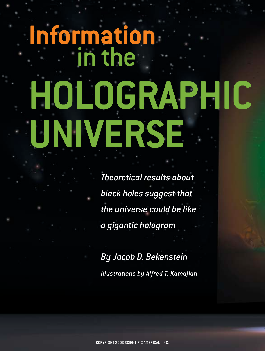# **Information** in the **HOLOGRAPHIC UNIVERSE**

*Theoretical results about black holes suggest that the universe could be like a gigantic hologram*

*By Jacob D. Bekenstein Illustrations by Alfred T. Kamajian*

COPYRIGHT 2003 SCIENTIFIC AMERICAN, INC.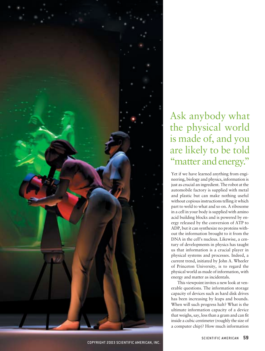

## Ask anybody what the physical world is made of, and you are likely to be told "matter and energy."

Yet if we have learned anything from engineering, biology and physics, information is just as crucial an ingredient. The robot at the automobile factory is supplied with metal and plastic but can make nothing useful without copious instructions telling it which part to weld to what and so on. A ribosome in a cell in your body is supplied with amino acid building blocks and is powered by energy released by the conversion of ATP to ADP, but it can synthesize no proteins without the information brought to it from the DNA in the cell's nucleus. Likewise, a century of developments in physics has taught us that information is a crucial player in physical systems and processes. Indeed, a current trend, initiated by John A. Wheeler of Princeton University, is to regard the physical world as made of information, with energy and matter as incidentals.

This viewpoint invites a new look at venerable questions. The information storage capacity of devices such as hard disk drives has been increasing by leaps and bounds. When will such progress halt? What is the ultimate information capacity of a device that weighs, say, less than a gram and can fit inside a cubic centimeter (roughly the size of a computer chip)? How much information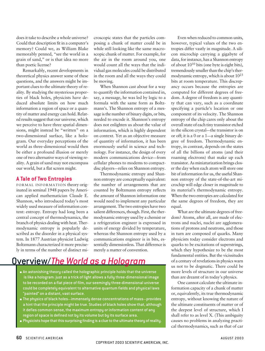does it take to describe a whole universe? Could that description fit in a computer's memory? Could we, as William Blake memorably penned, "see the world in a grain of sand," or is that idea no more than poetic license?

Remarkably, recent developments in theoretical physics answer some of these questions, and the answers might be important clues to the ultimate theory of reality. By studying the mysterious properties of black holes, physicists have deduced absolute limits on how much information a region of space or a quantity of matter and energy can hold. Related results suggest that our universe, which we perceive to have three spatial dimensions, might instead be "written" on a two-dimensional surface, like a hologram. Our everyday perceptions of the world as three-dimensional would then be either a profound illusion or merely one of two alternative ways of viewing reality. A grain of sand may not encompass our world, but a flat screen might.

#### **A Tale of Two Entropies**

FORMAL INFORMATION theory originated in seminal 1948 papers by American applied mathematician Claude E. Shannon, who introduced today's most widely used measure of information content: entropy. Entropy had long been a central concept of thermodynamics, the branch of physics dealing with heat. Thermodynamic entropy is popularly described as the disorder in a physical system. In 1877 Austrian physicist Ludwig Boltzmann characterized it more precisely in terms of the number of distinct microscopic states that the particles composing a chunk of matter could be in while still looking like the same macroscopic chunk of matter. For example, for the air in the room around you, one would count all the ways that the individual gas molecules could be distributed in the room and all the ways they could be moving.

When Shannon cast about for a way to quantify the information contained in, say, a message, he was led by logic to a formula with the same form as Boltzmann's. The Shannon entropy of a message is the number of binary digits, or bits, needed to encode it. Shannon's entropy does not enlighten us about the value of information, which is highly dependent on context. Yet as an objective measure of quantity of information, it has been enormously useful in science and technology. For instance, the design of every modern communications device—from cellular phones to modems to compactdisc players—relies on Shannon entropy.

Thermodynamic entropy and Shannon entropy are conceptually equivalent: the number of arrangements that are counted by Boltzmann entropy reflects the amount of Shannon information one would need to implement any particular arrangement. The two entropies have two salient differences, though. First, the thermodynamic entropy used by a chemist or a refrigeration engineer is expressed in units of energy divided by temperature, whereas the Shannon entropy used by a communications engineer is in bits, essentially dimensionless. That difference is merely a matter of convention.

## Overview/*The World as a Hologram*

- An astonishing theory called the holographic principle holds that the universe is like a hologram: just as a trick of light allows a fully three-dimensional image to be recorded on a flat piece of film, our seemingly three-dimensional universe could be completely equivalent to alternative quantum fields and physical laws "painted" on a distant, vast surface.
- $\blacksquare$  The physics of black holes—immensely dense concentrations of mass—provides a hint that the principle might be true. Studies of black holes show that, although it defies common sense, the maximum entropy or information content of any region of space is defined not by its volume but by its surface area.
- $\blacksquare$  Physicists hope that this surprising finding is a clue to the ultimate theory of reality.

Even when reduced to common units, however, typical values of the two entropies differ vastly in magnitude. A silicon microchip carrying a gigabyte of data, for instance, has a Shannon entropy of about  $10^{10}$  bits (one byte is eight bits), tremendously smaller than the chip's thermodynamic entropy, which is about  $10^{23}$ bits at room temperature. This discrepancy occurs because the entropies are computed for different degrees of freedom. A degree of freedom is any quantity that can vary, such as a coordinate specifying a particle's location or one component of its velocity. The Shannon entropy of the chip cares only about the overall state of each tiny transistor etched in the silicon crystal—the transistor is on or off; it is a 0 or a 1—a single binary degree of freedom. Thermodynamic entropy, in contrast, depends on the states of all the billions of atoms (and their roaming electrons) that make up each transistor. As miniaturization brings closer the day when each atom will store one bit of information for us, the useful Shannon entropy of the state-of-the-art microchip will edge closer in magnitude to its material's thermodynamic entropy. When the two entropies are calculated for the same degrees of freedom, they are equal.

What are the ultimate degrees of freedom? Atoms, after all, are made of electrons and nuclei, nuclei are agglomerations of protons and neutrons, and those in turn are composed of quarks. Many physicists today consider electrons and quarks to be excitations of superstrings, which they hypothesize to be the most fundamental entities. But the vicissitudes of a century of revelations in physics warn us not to be dogmatic. There could be more levels of structure in our universe than are dreamt of in today's physics.

One cannot calculate the ultimate information capacity of a chunk of matter or, equivalently, its true thermodynamic entropy, without knowing the nature of the ultimate constituents of matter or of the deepest level of structure, which I shall refer to as level X. (This ambiguity causes no problems in analyzing practical thermodynamics, such as that of car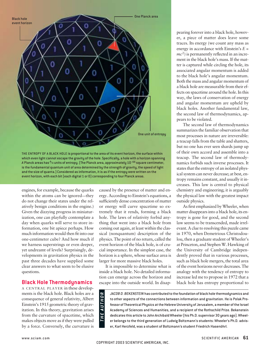

which even light cannot escape the gravity of the hole. Specifically, a hole with a horizon spanning *A* Planck areas has *<sup>A</sup>* ⁄4 units of entropy. (The Planck area, approximately 10–66 square centimeter, is the fundamental quantum unit of area determined by the strength of gravity, the speed of light and the size of quanta.) Considered as information, it is as if the entropy were written on the event horizon, with each bit (each digital 1 or 0) corresponding to four Planck areas.

engines, for example, because the quarks within the atoms can be ignored—they do not change their states under the relatively benign conditions in the engine.) Given the dizzying progress in miniaturization, one can playfully contemplate a day when quarks will serve to store information, one bit apiece perhaps. How much information would then fit into our one-centimeter cube? And how much if we harness superstrings or even deeper, yet undreamt of levels? Surprisingly, developments in gravitation physics in the past three decades have supplied some clear answers to what seem to be elusive questions.

#### **Black Hole Thermodynamics**

A CENTRAL PLAYER in these developments is the black hole. Black holes are a consequence of general relativity, Albert Einstein's 1915 geometric theory of gravitation. In this theory, gravitation arises from the curvature of spacetime, which makes objects move as if they were pulled by a force. Conversely, the curvature is

caused by the presence of matter and energy. According to Einstein's equations, a sufficiently dense concentration of matter or energy will curve spacetime so extremely that it rends, forming a black hole. The laws of relativity forbid anything that went into a black hole from coming out again, at least within the classical (nonquantum) description of the physics. The point of no return, called the event horizon of the black hole, is of crucial importance. In the simplest case, the horizon is a sphere, whose surface area is larger for more massive black holes.

It is impossible to determine what is inside a black hole. No detailed information can emerge across the horizon and escape into the outside world. In disappearing forever into a black hole, however, a piece of matter does leave some traces. Its energy (we count any mass as energy in accordance with Einstein's *E* =  $mc<sup>2</sup>$ ) is permanently reflected in an increment in the black hole's mass. If the matter is captured while circling the hole, its associated angular momentum is added to the black hole's angular momentum. Both the mass and angular momentum of a black hole are measurable from their effects on spacetime around the hole. In this way, the laws of conservation of energy and angular momentum are upheld by black holes. Another fundamental law, the second law of thermodynamics, appears to be violated.

The second law of thermodynamics summarizes the familiar observation that most processes in nature are irreversible: a teacup falls from the table and shatters, but no one has ever seen shards jump up of their own accord and assemble into a teacup. The second law of thermodynamics forbids such inverse processes. It states that the entropy of an isolated physical system can never decrease; at best, entropy remains constant, and usually it increases. This law is central to physical chemistry and engineering; it is arguably the physical law with the greatest impact outside physics.

As first emphasized by Wheeler, when matter disappears into a black hole, its entropy is gone for good, and the second law seems to be transcended, made irrelevant. A clue to resolving this puzzle came in 1970, when Demetrious Christodoulou, then a graduate student of Wheeler's at Princeton, and Stephen W. Hawking of the University of Cambridge independently proved that in various processes, such as black hole mergers, the total area of the event horizons never decreases. The analogy with the tendency of entropy to increase led me to propose in 1972 that a black hole has entropy proportional to

*JACOB D. BEKENSTEIN* has contributed to the foundation of black hole thermodynamics and to other aspects of the connections between information and gravitation. He is Polak Professor of Theoretical Physics at the Hebrew University of Jerusalem, a member of the Israel Academy of Sciences and Humanities, and a recipient of the Rothschild Prize. Bekenstein dedicates this article to John Archibald Wheeler (his Ph.D. supervisor 30 years ago). Wheeler belongs to the third generation of Ludwig Boltzmann's students: Wheeler's Ph.D. adviser, Karl Herzfeld, was a student of Boltzmann's student Friedrich Hasenöhrl.

*THE AUTHOR*

THE AUTHOR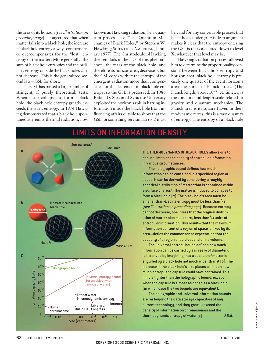the area of its horizon [*see illustration on preceding page*]. I conjectured that when matter falls into a black hole, the increase in black hole entropy always compensates or overcompensates for the "lost" entropy of the matter. More generally, the sum of black hole entropies and the ordinary entropy outside the black holes cannot decrease. This is the generalized second law—GSL for short.

The GSL has passed a large number of stringent, if purely theoretical, tests. When a star collapses to form a black hole, the black hole entropy greatly exceeds the star's entropy. In 1974 Hawking demonstrated that a black hole spontaneously emits thermal radiation, now

known as Hawking radiation, by a quantum process [see "The Quantum Mechanics of Black Holes," by Stephen W. Hawking; SCIENTIFIC AMERICAN, January 1977]. The Christodoulou-Hawking theorem fails in the face of this phenomenon (the mass of the black hole, and therefore its horizon area, decreases), but the GSL copes with it: the entropy of the emergent radiation more than compensates for the decrement in black hole entropy, so the GSL is preserved. In 1986 Rafael D. Sorkin of Syracuse University exploited the horizon's role in barring information inside the black hole from influencing affairs outside to show that the GSL (or something very similar to it) must be valid for any conceivable process that black holes undergo. His deep argument makes it clear that the entropy entering the GSL is that calculated down to level X, whatever that level may be.

Hawking's radiation process allowed him to determine the proportionality constant between black hole entropy and horizon area: black hole entropy is precisely one quarter of the event horizon's area measured in Planck areas. (The Planck length, about  $10^{-33}$  centimeter, is the fundamental length scale related to gravity and quantum mechanics. The Planck area is its square.) Even in thermodynamic terms, this is a vast quantity of entropy. The entropy of a black hole



### LIMITS ON INFORMATION DENSITY

THE THERMODYNAMICS OF BLACK HOLES allows one to deduce limits on the density of entropy or information in various circumstances.

The holographic bound defines how much information can be contained in a specified region of space. It can be derived by considering a roughly spherical distribution of matter that is contained within a surface of area *A*. The matter is induced to collapse to form a black hole (*a*). The black hole's area must be smaller than *A*, so its entropy must be less than *<sup>A</sup>* ⁄4 [*see illustration on preceding page*]. Because entropy cannot decrease, one infers that the original distribution of matter also must carry less than *<sup>A</sup>* ⁄4 units of entropy or information. This result—that the maximum information content of a region of space is fixed by its area—defies the commonsense expectation that the capacity of a region should depend on its volume.

The universal entropy bound defines how much information can be carried by a mass *m* of diameter *d*. It is derived by imagining that a capsule of matter is engulfed by a black hole not much wider than it (*b*). The increase in the black hole's size places a limit on how much entropy the capsule could have contained. This limit is tighter than the holographic bound, except when the capsule is almost as dense as a black hole (in which case the two bounds are equivalent).

The holographic and universal information bounds are far beyond the data storage capacities of any current technology, and they greatly exceed the density of information on chromosomes and the thermodynamic entropy of water (*c*). —*J.D.B.*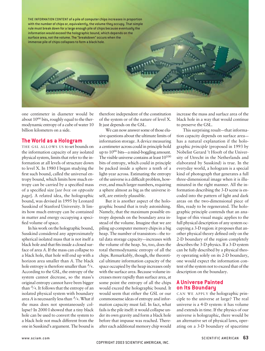THE INFORMATION CONTENT of a pile of computer chips increases in proportion with the number of chips or, equivalently, the volume they occupy. That simple rule must break down for a large enough pile of chips because eventually the information would exceed the holographic bound, which depends on the surface area, not the volume. The "breakdown" occurs when the immense pile of chips collapses to form a black hole.

one centimeter in diameter would be about  $10^{66}$  bits, roughly equal to the thermodynamic entropy of a cube of water 10 billion kilometers on a side.

#### **The World as a Hologram**

THE GSL ALLOWS US to set bounds on the information capacity of any isolated physical system, limits that refer to the information at all levels of structure down to level X. In 1980 I began studying the first such bound, called the universal entropy bound, which limits how much entropy can be carried by a specified mass of a specified size [*see box on opposite page*]. A related idea, the holographic bound, was devised in 1995 by Leonard Susskind of Stanford University. It limits how much entropy can be contained in matter and energy occupying a specified volume of space.

In his work on the holographic bound, Susskind considered any approximately spherical isolated mass that is not itself a black hole and that fits inside a closed surface of area *A*. If the mass can collapse to a black hole, that hole will end up with a horizon area smaller than *A*. The black hole entropy is therefore smaller than *A*⁄ 4. According to the GSL, the entropy of the system cannot decrease, so the mass's original entropy cannot have been bigger than  $A/4$ . It follows that the entropy of an isolated physical system with boundary area *A* is necessarily less than *A*⁄ 4. What if the mass does not spontaneously collapse? In 2000 I showed that a tiny black hole can be used to convert the system to a black hole not much different from the one in Susskind's argument. The bound is therefore independent of the constitution of the system or of the nature of level X. It just depends on the GSL.

We can now answer some of those elusive questions about the ultimate limits of information storage. A device measuring a centimeter across could in principle hold up to 1066 bits—a mind-boggling amount. The visible universe contains at least  $10^{100}$ bits of entropy, which could in principle be packed inside a sphere a tenth of a light-year across. Estimating the entropy of the universe is a difficult problem, however, and much larger numbers, requiring a sphere almost as big as the universe itself, are entirely plausible.

But it is another aspect of the holographic bound that is truly astonishing. Namely, that the maximum possible entropy depends on the boundary area instead of the volume. Imagine that we are piling up computer memory chips in a big heap. The number of transistors—the total data storage capacity—increases with the volume of the heap. So, too, does the total thermodynamic entropy of all the chips. Remarkably, though, the theoretical ultimate information capacity of the space occupied by the heap increases only with the surface area. Because volume increases more rapidly than surface area, at some point the entropy of all the chips would exceed the holographic bound. It would seem that either the GSL or our commonsense ideas of entropy and information capacity must fail. In fact, what fails is the pile itself: it would collapse under its own gravity and form a black hole before that impasse was reached. Thereafter each additional memory chip would

increase the mass and surface area of the black hole in a way that would continue to preserve the GSL.

This surprising result—that information capacity depends on surface area has a natural explanation if the holographic *principle* (proposed in 1993 by Nobelist Gerard 't Hooft of the University of Utrecht in the Netherlands and elaborated by Susskind) is true. In the everyday world, a hologram is a special kind of photograph that generates a full three-dimensional image when it is illuminated in the right manner. All the information describing the 3-D scene is encoded into the pattern of light and dark areas on the two-dimensional piece of film, ready to be regenerated. The holographic principle contends that an analogue of this visual magic applies to the full physical description of any system occupying a 3-D region: it proposes that another physical theory defined only on the 2-D boundary of the region completely describes the 3-D physics. If a 3-D system can be fully described by a physical theory operating solely on its 2-D boundary, one would expect the information content of the system not to exceed that of the description on the boundary.

#### **A Universe Painted on Its Boundary**

CAN WE APPLY the holographic principle to the universe at large? The real universe is a 4-D system: it has volume and extends in time. If the physics of our universe is holographic, there would be an alternative set of physical laws, operating on a 3-D boundary of spacetime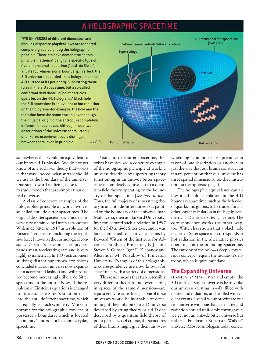## A HOLOGRAPHIC SPACETIME

TWO UNIVERSES of different dimension and obeying disparate physical laws are rendered completely equivalent by the holographic principle. Theorists have demonstrated this principle mathematically for a specific type of five-dimensional spacetime ("anti–de Sitter") and its four-dimensional boundary. In effect, the 5-D universe is recorded like a hologram on the 4-D surface at its periphery. Superstring theory rules in the 5-D spacetime, but a so-called conformal field theory of point particles operates on the 4-D hologram. A black hole in the 5-D spacetime is equivalent to hot radiation on the hologram—for example, the hole and the radiation have the same entropy even though the physical origin of the entropy is completely different for each case. Although these two descriptions of the universe seem utterly unalike, no experiment could distinguish between them, even in principle. —*J.D.B.*



somewhere, that would be equivalent to our known 4-D physics. We do not yet know of any such 3-D theory that works in that way. Indeed, what surface should we use as the boundary of the universe? One step toward realizing these ideas is to study models that are simpler than our real universe.

A class of concrete examples of the holographic principle at work involves so-called anti–de Sitter spacetimes. The original de Sitter spacetime is a model universe first obtained by Dutch astronomer Willem de Sitter in 1917 as a solution of Einstein's equations, including the repulsive force known as the cosmological constant. De Sitter's spacetime is empty, expands at an accelerating rate and is very highly symmetrical. In 1997 astronomers studying distant supernova explosions concluded that our universe now expands in an accelerated fashion and will probably become increasingly like a de Sitter spacetime in the future. Now, if the repulsion in Einstein's equations is changed to attraction, de Sitter's solution turns into the anti–de Sitter spacetime, which has equally as much symmetry. More important for the holographic concept, it possesses a boundary, which is located "at infinity" and is a lot like our everyday spacetime.

Using anti–de Sitter spacetime, theorists have devised a concrete example of the holographic principle at work: a universe described by superstring theory functioning in an anti–de Sitter spacetime is completely equivalent to a quantum field theory operating on the boundary of that spacetime [*see box above*]. Thus, the full majesty of superstring theory in an anti–de Sitter universe is painted on the boundary of the universe. Juan Maldacena, then at Harvard University, first conjectured such a relation in 1997 for the 5-D anti–de Sitter case, and it was later confirmed for many situations by Edward Witten of the Institute for Advanced Study in Princeton, N.J., and Steven S. Gubser, Igor R. Klebanov and Alexander M. Polyakov of Princeton University. Examples of this holographic correspondence are now known for spacetimes with a variety of dimensions.

This result means that two ostensibly very different theories—not even acting in spaces of the same dimension—are equivalent. Creatures living in one of these universes would be incapable of determining if they inhabited a 5-D universe described by string theory or a 4-D one described by a quantum field theory of point particles. (Of course, the structures of their brains might give them an over-

whelming "commonsense" prejudice in favor of one description or another, in just the way that our brains construct an innate perception that our universe has three spatial dimensions; see the illustration on the opposite page.)

The holographic equivalence can allow a difficult calculation in the 4-D boundary spacetime, such as the behavior of quarks and gluons, to be traded for another, easier calculation in the highly symmetric, 5-D anti–de Sitter spacetime. The correspondence works the other way, too. Witten has shown that a black hole in anti–de Sitter spacetime corresponds to hot radiation in the alternative physics operating on the bounding spacetime. The entropy of the hole—a deeply mysterious concept—equals the radiation's entropy, which is quite mundane.

#### **The Expanding Universe**

HIGHLY SYMMETRIC and empty, the 5-D anti–de Sitter universe is hardly like our universe existing in 4-D, filled with matter and radiation, and riddled with violent events. Even if we approximate our real universe with one that has matter and radiation spread uniformly throughout, we get not an anti–de Sitter universe but rather a "Friedmann-Robertson-Walker" universe. Most cosmologists today concur